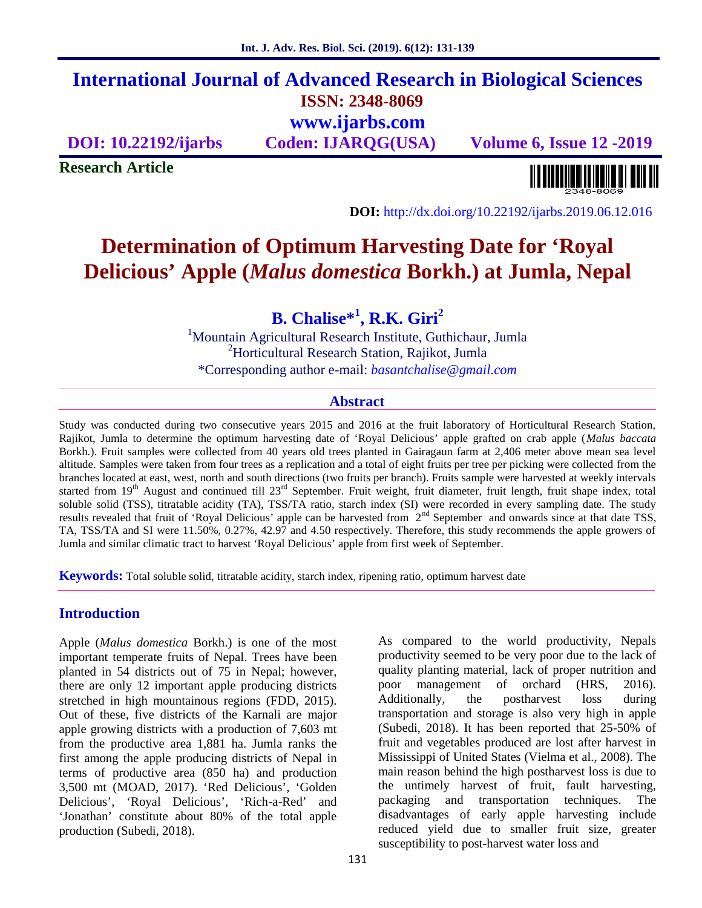## **International Journal of Advanced Research in Biological Sciences ISSN: 2348-8069 www.ijarbs.com**

**DOI: 10.22192/ijarbs Coden: IJARQG(USA) Volume 6, Issue 12 -2019**

**Research Article**

<u> Alban kalendari bahas pendadi pada sebagai pengangkan pendadi pendadi pendadi pendadi pengangkan pengangkan </u>

**DOI:** http://dx.doi.org/10.22192/ijarbs.2019.06.12.016

# **Determination of Optimum Harvesting Date for 'Royal Delicious' Apple (***Malus domestica* **Borkh.) at Jumla, Nepal**

**B. Chalise\*<sup>1</sup> , R.K. Giri<sup>2</sup>**

<sup>1</sup>Mountain Agricultural Research Institute, Guthichaur, Jumla <sup>2</sup>Horticultural Research Station, Rajikot, Jumla \*Corresponding author e-mail: *basantchalise@gmail.com*

#### **Abstract**

Study was conducted during two consecutive years 2015 and 2016 at the fruit laboratory of Horticultural Research Station, Rajikot, Jumla to determine the optimum harvesting date of 'Royal Delicious' apple grafted on crab apple (*Malus baccata* Borkh.). Fruit samples were collected from 40 years old trees planted in Gairagaun farm at 2,406 meter above mean sea level altitude. Samples were taken from four trees as a replication and a total of eight fruits per tree per picking were collected from the branches located at east, west, north and south directions (two fruits per branch). Fruits sample were harvested at weekly intervals started from 19<sup>th</sup> August and continued till 23<sup>rd</sup> September. Fruit weight, fruit diameter, fruit length, fruit shape index, total soluble solid (TSS), titratable acidity (TA), TSS/TA ratio, starch index (SI) were recorded in every sampling date. The study results revealed that fruit of 'Royal Delicious' apple can be harvested from  $2<sup>nd</sup>$  September and onwards since at that date TSS, TA, TSS/TA and SI were 11.50%, 0.27%, 42.97 and 4.50 respectively. Therefore, this study recommends the apple growers of Jumla and similar climatic tract to harvest 'Royal Delicious' apple from first week of September.

**Keywords:** Total soluble solid, titratable acidity, starch index, ripening ratio, optimum harvest date

## **Introduction**

Apple (*Malus domestica* Borkh.) is one of the most important temperate fruits of Nepal. Trees have been planted in 54 districts out of 75 in Nepal; however, there are only 12 important apple producing districts stretched in high mountainous regions (FDD, 2015). Out of these, five districts of the Karnali are major apple growing districts with a production of 7,603 mt from the productive area 1,881 ha. Jumla ranks the first among the apple producing districts of Nepal in terms of productive area (850 ha) and production 3,500 mt (MOAD, 2017). 'Red Delicious', 'Golden Delicious', 'Royal Delicious', 'Rich-a-Red' and 'Jonathan' constitute about 80% of the total apple production (Subedi, 2018).

As compared to the world productivity, Nepals productivity seemed to be very poor due to the lack of quality planting material, lack of proper nutrition and poor management of orchard (HRS, 2016). Additionally, the postharvest loss during transportation and storage is also very high in apple (Subedi, 2018). It has been reported that 25-50% of fruit and vegetables produced are lost after harvest in Mississippi of United States (Vielma et al., 2008). The main reason behind the high postharvest loss is due to the untimely harvest of fruit, fault harvesting, packaging and transportation techniques. The disadvantages of early apple harvesting include reduced yield due to smaller fruit size, greater susceptibility to post-harvest water loss and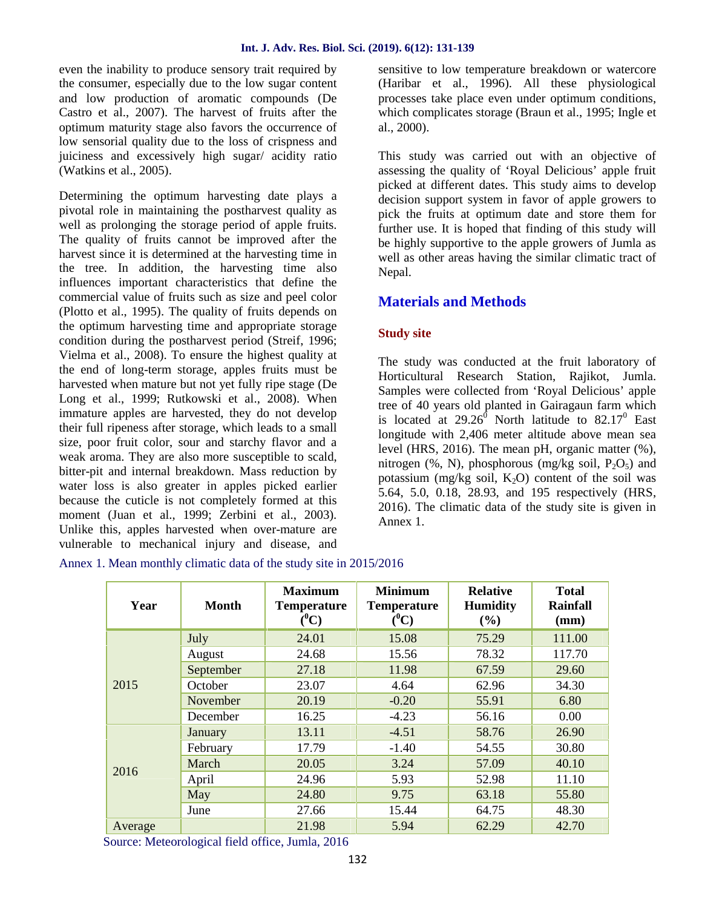even the inability to produce sensory trait required by the consumer, especially due to the low sugar content and low production of aromatic compounds (De Castro et al., 2007). The harvest of fruits after the optimum maturity stage also favors the occurrence of low sensorial quality due to the loss of crispness and juiciness and excessively high sugar/ acidity ratio (Watkins et al., 2005).

Determining the optimum harvesting date plays a pivotal role in maintaining the postharvest quality as well as prolonging the storage period of apple fruits. The quality of fruits cannot be improved after the harvest since it is determined at the harvesting time in the tree. In addition, the harvesting time also influences important characteristics that define the commercial value of fruits such as size and peel color (Plotto et al., 1995). The quality of fruits depends on the optimum harvesting time and appropriate storage condition during the postharvest period (Streif, 1996; Vielma et al., 2008). To ensure the highest quality at the end of long-term storage, apples fruits must be harvested when mature but not yet fully ripe stage (De Long et al., 1999; Rutkowski et al., 2008). When immature apples are harvested, they do not develop their full ripeness after storage, which leads to a small size, poor fruit color, sour and starchy flavor and a weak aroma. They are also more susceptible to scald, bitter-pit and internal breakdown. Mass reduction by water loss is also greater in apples picked earlier because the cuticle is not completely formed at this moment (Juan et al., 1999; Zerbini et al., 2003). Unlike this, apples harvested when over-mature are vulnerable to mechanical injury and disease, and sensitive to low temperature breakdown or watercore (Haribar et al., 1996). All these physiological processes take place even under optimum conditions, which complicates storage (Braun et al., 1995; Ingle et al., 2000).

This study was carried out with an objective of assessing the quality of 'Royal Delicious' apple fruit picked at different dates. This study aims to develop decision support system in favor of apple growers to pick the fruits at optimum date and store them for further use. It is hoped that finding of this study will be highly supportive to the apple growers of Jumla as well as other areas having the similar climatic tract of Nepal.

## **Materials and Methods**

#### **Study site**

The study was conducted at the fruit laboratory of Horticultural Research Station, Rajikot, Jumla. Samples were collected from 'Royal Delicious' apple tree of 40 years old planted in Gairagaun farm which is located at  $29.26^{\circ}$  North latitude to  $82.17^{\circ}$  East longitude with 2,406 meter altitude above mean sea level (HRS, 2016). The mean pH, organic matter (%), nitrogen (%, N), phosphorous (mg/kg soil,  $P_2O_5$ ) and potassium (mg/kg soil,  $K_2O$ ) content of the soil was 5.64, 5.0, 0.18, 28.93, and 195 respectively (HRS, 2016). The climatic data of the study site is given in Annex 1.

| Annex 1. Mean monthly climatic data of the study site in 2015/2016 |  |
|--------------------------------------------------------------------|--|
|--------------------------------------------------------------------|--|

| Year    | <b>Month</b> | <b>Maximum</b><br><b>Temperature</b><br>$(^0C)$ | <b>Minimum</b><br><b>Temperature</b><br>$(^0C)$ | <b>Relative</b><br><b>Humidity</b><br>(%) | <b>Total</b><br><b>Rainfall</b><br>(mm) |
|---------|--------------|-------------------------------------------------|-------------------------------------------------|-------------------------------------------|-----------------------------------------|
|         | July         | 24.01                                           | 15.08                                           | 75.29                                     | 111.00                                  |
|         | August       | 24.68                                           | 15.56                                           | 78.32                                     | 117.70                                  |
|         | September    | 27.18                                           | 11.98                                           | 67.59                                     | 29.60                                   |
| 2015    | October      | 23.07                                           | 4.64                                            | 62.96                                     | 34.30                                   |
|         | November     | 20.19                                           | $-0.20$                                         | 55.91                                     | 6.80                                    |
|         | December     | 16.25                                           | $-4.23$                                         | 56.16                                     | 0.00                                    |
|         | January      | 13.11                                           | $-4.51$                                         | 58.76                                     | 26.90                                   |
|         | February     | 17.79                                           | $-1.40$                                         | 54.55                                     | 30.80                                   |
|         | March        | 20.05                                           | 3.24                                            | 57.09                                     | 40.10                                   |
| 2016    | April        | 24.96                                           | 5.93                                            | 52.98                                     | 11.10                                   |
|         | May          | 24.80                                           | 9.75                                            | 63.18                                     | 55.80                                   |
|         | June         | 27.66                                           | 15.44                                           | 64.75                                     | 48.30                                   |
| Average |              | 21.98                                           | 5.94                                            | 62.29                                     | 42.70                                   |

Source: Meteorological field office, Jumla, 2016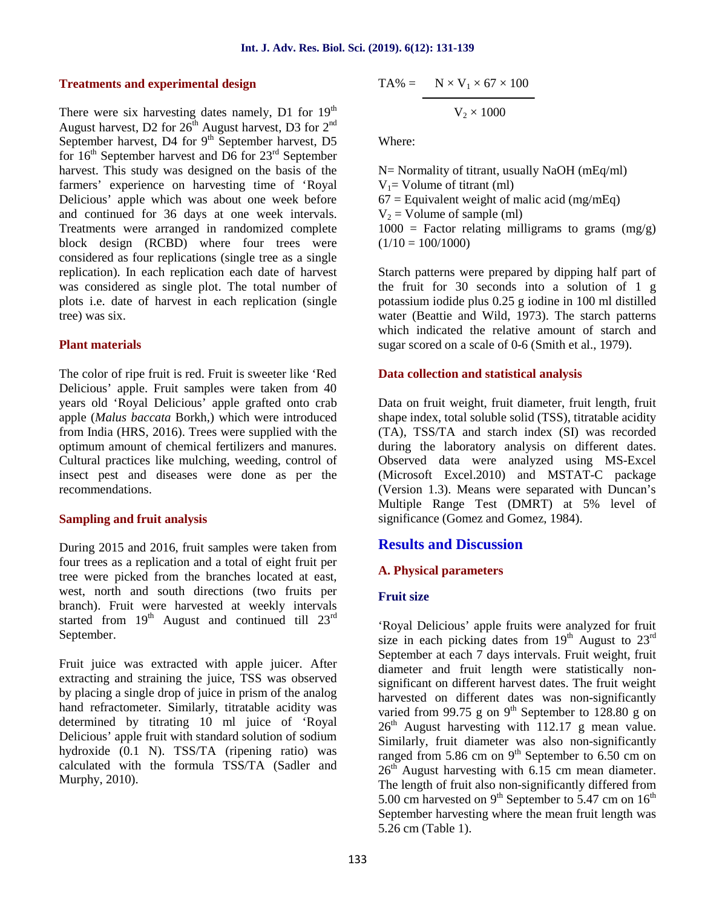#### **Treatments and experimental design**

There were six harvesting dates namely, D1 for  $19<sup>th</sup>$ August harvest, D2 for  $26<sup>th</sup>$  August harvest, D3 for  $2<sup>nd</sup>$ September harvest, D4 for  $9<sup>th</sup>$  September harvest, D5 for  $16<sup>th</sup>$  September harvest and D6 for  $23<sup>rd</sup>$  September harvest. This study was designed on the basis of the farmers' experience on harvesting time of 'Royal Delicious' apple which was about one week before and continued for 36 days at one week intervals. Treatments were arranged in randomized complete block design (RCBD) where four trees were considered as four replications (single tree as a single replication). In each replication each date of harvest was considered as single plot. The total number of plots i.e. date of harvest in each replication (single tree) was six.

#### **Plant materials**

The color of ripe fruit is red. Fruit is sweeter like 'Red Delicious' apple. Fruit samples were taken from 40 years old 'Royal Delicious' apple grafted onto crab apple (*Malus baccata* Borkh,) which were introduced from India (HRS, 2016). Trees were supplied with the optimum amount of chemical fertilizers and manures. Cultural practices like mulching, weeding, control of insect pest and diseases were done as per the recommendations.

#### **Sampling and fruit analysis**

During 2015 and 2016, fruit samples were taken from four trees as a replication and a total of eight fruit per tree were picked from the branches located at east, west, north and south directions (two fruits per branch). Fruit were harvested at weekly intervals started from  $19<sup>th</sup>$  August and continued till  $23<sup>rd</sup>$ September.

Fruit juice was extracted with apple juicer. After extracting and straining the juice, TSS was observed by placing a single drop of juice in prism of the analog hand refractometer. Similarly, titratable acidity was determined by titrating 10 ml juice of 'Royal Delicious' apple fruit with standard solution of sodium hydroxide (0.1 N). TSS/TA (ripening ratio) was calculated with the formula TSS/TA (Sadler and Murphy, 2010).

$$
TA\% = N \times V_1 \times 67 \times 100
$$

$$
\rm V_2 \times 1000
$$

Where:

N= Normality of titrant, usually NaOH (mEq/ml)  $V_1$ = Volume of titrant (ml)  $67$  = Equivalent weight of malic acid (mg/mEq)  $V_2$  = Volume of sample (ml)  $1000 =$  Factor relating milligrams to grams  $(mg/g)$  $(1/10 = 100/1000)$ 

Starch patterns were prepared by dipping half part of the fruit for 30 seconds into a solution of 1 g potassium iodide plus 0.25 g iodine in 100 ml distilled water (Beattie and Wild, 1973). The starch patterns which indicated the relative amount of starch and sugar scored on a scale of 0-6 (Smith et al., 1979).

#### **Data collection and statistical analysis**

Data on fruit weight, fruit diameter, fruit length, fruit shape index, total soluble solid (TSS), titratable acidity (TA), TSS/TA and starch index (SI) was recorded during the laboratory analysis on different dates. Observed data were analyzed using MS-Excel (Microsoft Excel.2010) and MSTAT-C package (Version 1.3). Means were separated with Duncan's Multiple Range Test (DMRT) at 5% level of significance (Gomez and Gomez, 1984).

### **Results and Discussion**

#### **A. Physical parameters**

#### **Fruit size**

'Royal Delicious' apple fruits were analyzed for fruit size in each picking dates from  $19<sup>th</sup>$  August to  $23<sup>rd</sup>$ September at each 7 days intervals. Fruit weight, fruit diameter and fruit length were statistically non significant on different harvest dates. The fruit weight harvested on different dates was non-significantly varied from 99.75 g on 9<sup>th</sup> September to 128.80 g on  $26<sup>th</sup>$  August harvesting with 112.17 g mean value. Similarly, fruit diameter was also non-significantly ranged from 5.86 cm on  $9<sup>th</sup>$  September to 6.50 cm on  $26<sup>th</sup>$  August harvesting with 6.15 cm mean diameter. The length of fruit also non-significantly differed from 5.00 cm harvested on 9<sup>th</sup> September to 5.47 cm on  $16<sup>th</sup>$ September harvesting where the mean fruit length was 5.26 cm (Table 1).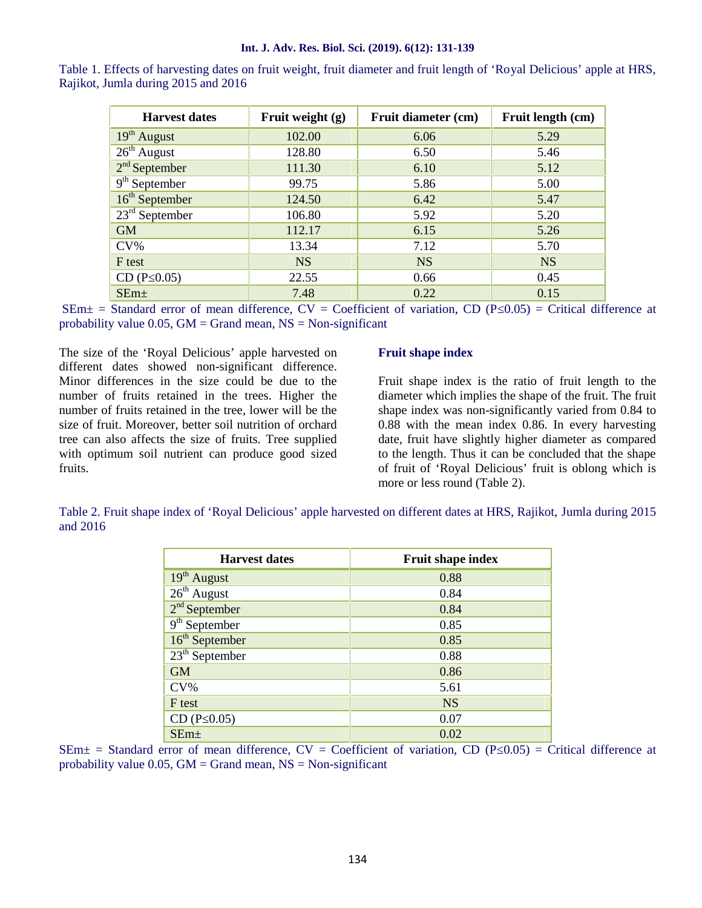#### **Int. J. Adv. Res. Biol. Sci. (2019). 6(12): 131-139**

| <b>Harvest dates</b> | Fruit weight (g) | Fruit diameter (cm) | Fruit length (cm) |
|----------------------|------------------|---------------------|-------------------|
| $19th$ August        | 102.00           | 6.06                | 5.29              |
| $26th$ August        | 128.80           | 6.50                | 5.46              |
| $2nd$ September      | 111.30           | 6.10                | 5.12              |
| $9th$ September      | 99.75            | 5.86                | 5.00              |
| $16th$ September     | 124.50           | 6.42                | 5.47              |
| $23rd$ September     | 106.80           | 5.92                | 5.20              |
| <b>GM</b>            | 112.17           | 6.15                | 5.26              |
| $CV\%$               | 13.34            | 7.12                | 5.70              |
| F test               | <b>NS</b>        | <b>NS</b>           | <b>NS</b>         |
| CD (P 0.05)          | 22.55            | 0.66                | 0.45              |
| $SEm+$               | 7.48             | 0.22                | 0.15              |

Table 1. Effects of harvesting dates on fruit weight, fruit diameter and fruit length of 'Royal Delicious' apple at HRS, Rajikot, Jumla during 2015 and 2016

 $SEM\pm$  = Standard error of mean difference, CV = Coefficient of variation, CD (P 0.05) = Critical difference at probability value 0.05,  $GM = Grand$  mean,  $NS = Non-significant$ 

The size of the 'Royal Delicious' apple harvested on different dates showed non-significant difference. Minor differences in the size could be due to the number of fruits retained in the trees. Higher the number of fruits retained in the tree, lower will be the size of fruit. Moreover, better soil nutrition of orchard tree can also affects the size of fruits. Tree supplied with optimum soil nutrient can produce good sized fruits.

#### **Fruit shape index**

Fruit shape index is the ratio of fruit length to the diameter which implies the shape of the fruit. The fruit shape index was non-significantly varied from 0.84 to 0.88 with the mean index 0.86. In every harvesting date, fruit have slightly higher diameter as compared to the length. Thus it can be concluded that the shape of fruit of 'Royal Delicious' fruit is oblong which is more or less round (Table 2).

Table 2. Fruit shape index of 'Royal Delicious' apple harvested on different dates at HRS, Rajikot, Jumla during 2015 and 2016

| <b>Harvest dates</b> | <b>Fruit shape index</b> |
|----------------------|--------------------------|
| $19th$ August        | 0.88                     |
| $26th$ August        | 0.84                     |
| $2nd$ September      | 0.84                     |
| $9th$ September      | 0.85                     |
| $16th$ September     | 0.85                     |
| $23th$ September     | 0.88                     |
| <b>GM</b>            | 0.86                     |
| $CV\%$               | 5.61                     |
| F test               | <b>NS</b>                |
| CD (P 0.05)          | 0.07                     |
| $SEm+$               | 0.02                     |

 $SEM\pm$  = Standard error of mean difference, CV = Coefficient of variation, CD (P 0.05) = Critical difference at probability value  $0.05$ ,  $GM = Grand$  mean,  $NS = Non-significant$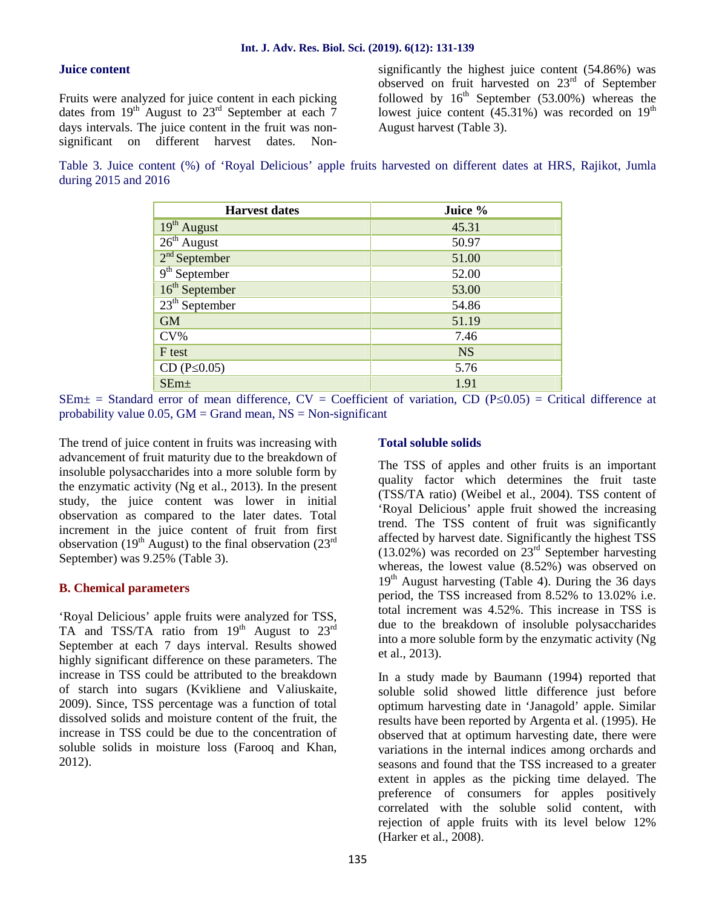#### **Juice content**

Fruits were analyzed for juice content in each picking dates from  $19^{th}$  August to  $23^{rd}$  September at each  $\frac{8}{7}$ days intervals. The juice content in the fruit was nonsignificant on different harvest dates. Non-

significantly the highest juice content (54.86%) was observed on fruit harvested on 23rd of September followed by  $16<sup>th</sup>$  September (53.00%) whereas the lowest juice content  $(45.31\%)$  was recorded on  $19<sup>th</sup>$ August harvest (Table 3).

Table 3. Juice content (%) of 'Royal Delicious' apple fruits harvested on different dates at HRS, Rajikot, Jumla during 2015 and 2016

| <b>Harvest dates</b>      | Juice %   |
|---------------------------|-----------|
| 19 <sup>th</sup> August   | 45.31     |
| $26th$ August             | 50.97     |
| $2nd$ September           | 51.00     |
| 9 <sup>th</sup> September | 52.00     |
| $16th$ September          | 53.00     |
| $23th$ September          | 54.86     |
| <b>GM</b>                 | 51.19     |
| $CV\%$                    | 7.46      |
| F test                    | <b>NS</b> |
| CD (P 0.05)               | 5.76      |
| $SEm+$                    | 1.91      |

 $SEm\pm$  = Standard error of mean difference,  $CV = Coefficient$  of variation,  $CD$  (P 0.05) = Critical difference at probability value  $0.05$ ,  $GM = Grand$  mean,  $NS = Non-significant$ 

The trend of juice content in fruits was increasing with advancement of fruit maturity due to the breakdown of insoluble polysaccharides into a more soluble form by the enzymatic activity (Ng et al., 2013). In the present study, the juice content was lower in initial observation as compared to the later dates. Total increment in the juice content of fruit from first observation (19<sup>th</sup> August) to the final observation (23<sup>rd</sup>) September) was 9.25% (Table 3).

#### **B. Chemical parameters**

'Royal Delicious' apple fruits were analyzed for TSS, TA and TSS/TA ratio from  $19<sup>th</sup>$  August to  $23<sup>rd</sup>$ September at each 7 days interval. Results showed highly significant difference on these parameters. The increase in TSS could be attributed to the breakdown of starch into sugars (Kvikliene and Valiuskaite, 2009). Since, TSS percentage was a function of total dissolved solids and moisture content of the fruit, the increase in TSS could be due to the concentration of soluble solids in moisture loss (Farooq and Khan, 2012).

#### **Total soluble solids**

The TSS of apples and other fruits is an important quality factor which determines the fruit taste (TSS/TA ratio) (Weibel et al., 2004). TSS content of 'Royal Delicious' apple fruit showed the increasing trend. The TSS content of fruit was significantly affected by harvest date. Significantly the highest TSS  $(13.02\%)$  was recorded on  $23<sup>rd</sup>$  September harvesting whereas, the lowest value (8.52%) was observed on  $19<sup>th</sup>$  August harvesting (Table 4). During the 36 days period, the TSS increased from 8.52% to 13.02% i.e. total increment was 4.52%. This increase in TSS is due to the breakdown of insoluble polysaccharides into a more soluble form by the enzymatic activity (Ng et al., 2013).

In a study made by Baumann (1994) reported that soluble solid showed little difference just before optimum harvesting date in 'Janagold' apple. Similar results have been reported by Argenta et al. (1995). He observed that at optimum harvesting date, there were variations in the internal indices among orchards and seasons and found that the TSS increased to a greater extent in apples as the picking time delayed. The preference of consumers for apples positively correlated with the soluble solid content, with rejection of apple fruits with its level below 12% (Harker et al., 2008).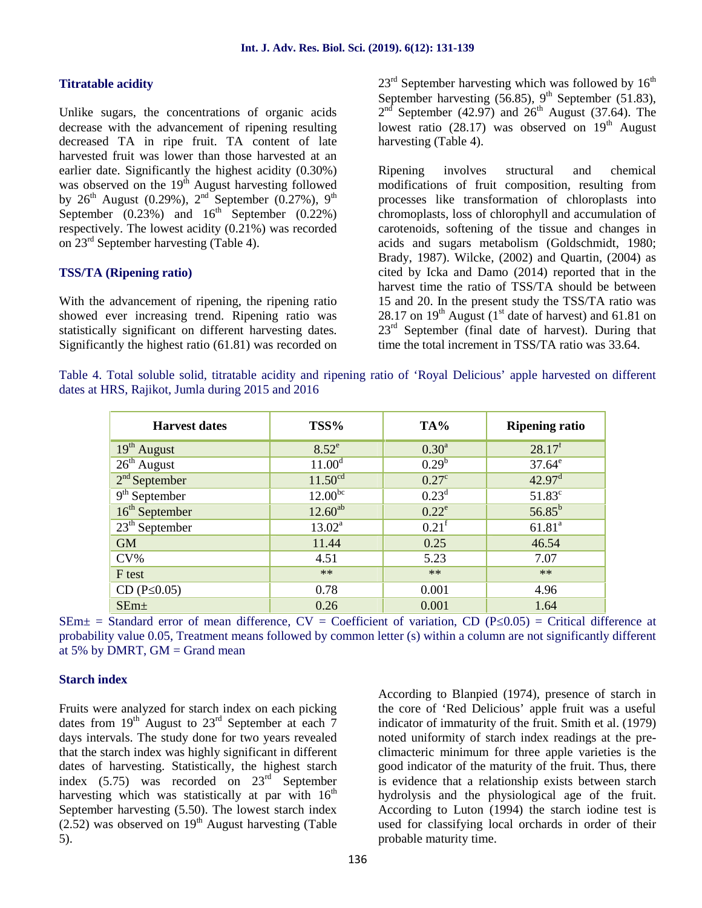#### **Titratable acidity**

Unlike sugars, the concentrations of organic acids decrease with the advancement of ripening resulting decreased TA in ripe fruit. TA content of late harvested fruit was lower than those harvested at an earlier date. Significantly the highest acidity (0.30%) was observed on the  $19<sup>th</sup>$  August harvesting followed by 26<sup>th</sup> August (0.29%), 2<sup>nd</sup> September (0.27%), 9<sup>th</sup> September  $(0.23\%)$  and  $16^{\text{th}}$  September  $(0.22\%)$ respectively. The lowest acidity (0.21%) was recorded on  $23<sup>rd</sup>$  September harvesting (Table 4).

#### **TSS/TA (Ripening ratio)**

With the advancement of ripening, the ripening ratio showed ever increasing trend. Ripening ratio was statistically significant on different harvesting dates. Significantly the highest ratio (61.81) was recorded on  $23<sup>rd</sup>$  September harvesting which was followed by  $16<sup>th</sup>$ September harvesting  $(56.85)$ , 9<sup>th</sup> September (51.83),  $2<sup>nd</sup>$  September (42.97) and  $26<sup>th</sup>$  August (37.64). The lowest ratio  $(28.17)$  was observed on  $19<sup>th</sup>$  August harvesting (Table 4).

Ripening involves structural and chemical modifications of fruit composition, resulting from processes like transformation of chloroplasts into chromoplasts, loss of chlorophyll and accumulation of carotenoids, softening of the tissue and changes in acids and sugars metabolism (Goldschmidt, 1980; Brady, 1987). Wilcke, (2002) and Quartin, (2004) as cited by Icka and Damo (2014) reported that in the harvest time the ratio of TSS/TA should be between 15 and 20. In the present study the TSS/TA ratio was 28.17 on  $19<sup>th</sup>$  August (1<sup>st</sup> date of harvest) and 61.81 on  $23<sup>rd</sup>$  September (final date of harvest). During that time the total increment in TSS/TA ratio was 33.64.

Table 4. Total soluble solid, titratable acidity and ripening ratio of 'Royal Delicious' apple harvested on different dates at HRS, Rajikot, Jumla during 2015 and 2016

| <b>Harvest dates</b>    | TSS%                | TA%               | <b>Ripening ratio</b> |
|-------------------------|---------------------|-------------------|-----------------------|
| 19 <sup>th</sup> August | $8.52^e$            | $0.30^{\rm a}$    | 28.17 <sup>f</sup>    |
| $26th$ August           | 11.00 <sup>d</sup>  | $0.29^{b}$        | $37.64^e$             |
| $2nd$ September         | 11.50 <sup>cd</sup> | $0.27^{\circ}$    | 42.97 <sup>d</sup>    |
| $9th$ September         | $12.00^{bc}$        | $0.23^d$          | $51.83^c$             |
| $16th$ September        | $12.60^{ab}$        | $0.22^e$          | $56.85^{b}$           |
| $23th$ September        | $13.02^a$           | 0.21 <sup>f</sup> | 61.81 <sup>a</sup>    |
| <b>GM</b>               | 11.44               | 0.25              | 46.54                 |
| $CV\%$                  | 4.51                | 5.23              | 7.07                  |
| F test                  | $**$                | $**$              | $**$                  |
| CD (P 0.05)             | 0.78                | 0.001             | 4.96                  |
| $SEm+$                  | 0.26                | 0.001             | 1.64                  |

 $SEM\pm$  = Standard error of mean difference, CV = Coefficient of variation, CD (P 0.05) = Critical difference at probability value 0.05, Treatment means followed by common letter (s) within a column are not significantly different at 5% by DMRT,  $GM = Grand$  mean

#### **Starch index**

Fruits were analyzed for starch index on each picking dates from  $19^{th}$  August to  $23^{rd}$  September at each  $7$ days intervals. The study done for two years revealed that the starch index was highly significant in different dates of harvesting. Statistically, the highest starch index  $(5.75)$  was recorded on  $23<sup>rd</sup>$  September harvesting which was statistically at par with  $16<sup>th</sup>$ September harvesting (5.50). The lowest starch index  $(2.52)$  was observed on  $19<sup>th</sup>$  August harvesting (Table 5).

According to Blanpied (1974), presence of starch in the core of 'Red Delicious' apple fruit was a useful indicator of immaturity of the fruit. Smith et al. (1979) noted uniformity of starch index readings at the pre climacteric minimum for three apple varieties is the good indicator of the maturity of the fruit. Thus, there is evidence that a relationship exists between starch hydrolysis and the physiological age of the fruit. According to Luton (1994) the starch iodine test is used for classifying local orchards in order of their probable maturity time.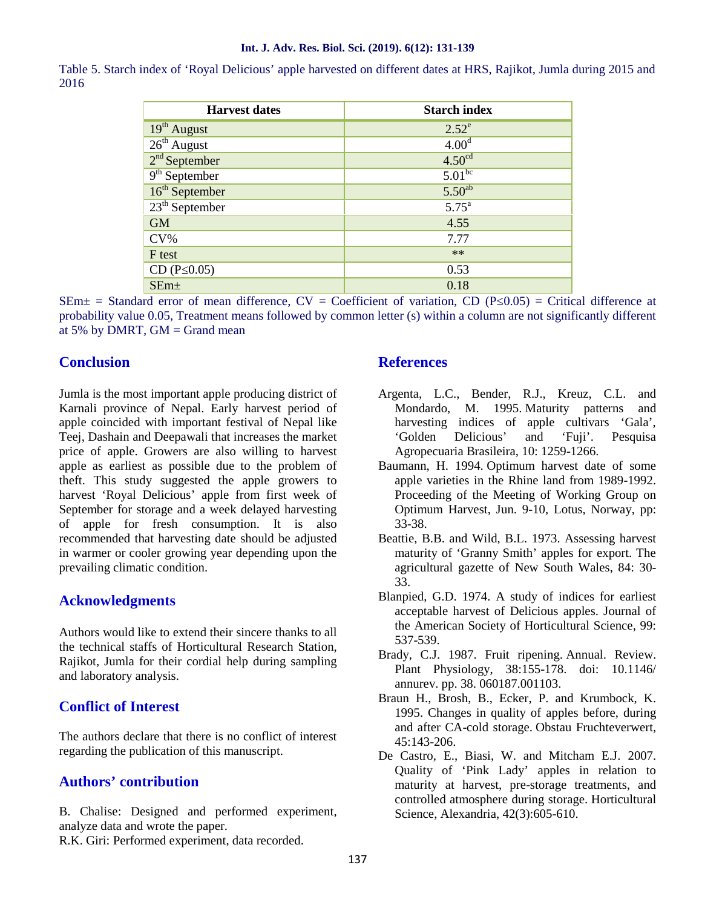#### **Int. J. Adv. Res. Biol. Sci. (2019). 6(12): 131-139**

Table 5. Starch index of 'Royal Delicious' apple harvested on different dates at HRS, Rajikot, Jumla during 2015 and 2016

| <b>Harvest dates</b>      | <b>Starch index</b> |
|---------------------------|---------------------|
| 19 <sup>th</sup> August   | $2.52^e$            |
| $26th$ August             | 4.00 <sup>d</sup>   |
| $2nd$ September           | 4.50 <sup>cd</sup>  |
| 9 <sup>th</sup> September | $5.01^{bc}$         |
| $16th$ September          | $5.50^{ab}$         |
| $23th$ September          | $5.75^{\mathrm{a}}$ |
| <b>GM</b>                 | 4.55                |
| $CV\%$                    | 7.77                |
| F test                    | $**$                |
| CD (P 0.05)               | 0.53                |
| SEm <sub>±</sub>          | 0.18                |

 $SEM\pm$  = Standard error of mean difference, CV = Coefficient of variation, CD (P 0.05) = Critical difference at probability value 0.05, Treatment means followed by common letter (s) within a column are not significantly different at 5% by DMRT,  $GM = Grand$  mean

## **Conclusion**

Jumla is the most important apple producing district of Karnali province of Nepal. Early harvest period of apple coincided with important festival of Nepal like Teej, Dashain and Deepawali that increases the market price of apple. Growers are also willing to harvest apple as earliest as possible due to the problem of theft. This study suggested the apple growers to harvest 'Royal Delicious' apple from first week of September for storage and a week delayed harvesting of apple for fresh consumption. It is also recommended that harvesting date should be adjusted in warmer or cooler growing year depending upon the prevailing climatic condition.

## **Acknowledgments**

Authors would like to extend their sincere thanks to all the technical staffs of Horticultural Research Station, Rajikot, Jumla for their cordial help during sampling and laboratory analysis.

## **Conflict of Interest**

The authors declare that there is no conflict of interest regarding the publication of this manuscript.

## **Authors' contribution**

B. Chalise: Designed and performed experiment, analyze data and wrote the paper.

R.K. Giri: Performed experiment, data recorded.

## **References**

- Argenta, L.C., Bender, R.J., Kreuz, C.L. and Mondardo, M. 1995. Maturity patterns and harvesting indices of apple cultivars 'Gala', 'Golden Delicious' and 'Fuji'. Pesquisa Agropecuaria Brasileira, 10: 1259-1266.
- Baumann, H. 1994. Optimum harvest date of some apple varieties in the Rhine land from 1989-1992. Proceeding of the Meeting of Working Group on Optimum Harvest, Jun. 9-10, Lotus, Norway, pp: 33-38.
- Beattie, B.B. and Wild, B.L. 1973. Assessing harvest maturity of 'Granny Smith' apples for export. The agricultural gazette of New South Wales, 84: 30- 33.
- Blanpied, G.D. 1974. A study of indices for earliest acceptable harvest of Delicious apples. Journal of the American Society of Horticultural Science, 99: 537-539.
- Brady, C.J. 1987. Fruit ripening. Annual. Review. Plant Physiology, 38:155-178. doi: 10.1146/ annurev. pp. 38. 060187.001103.
- Braun H., Brosh, B., Ecker, P. and Krumbock, K. 1995. Changes in quality of apples before, during and after CA-cold storage. Obstau Fruchteverwert,  $45.143 - 206$
- De Castro, E., Biasi, W. and Mitcham E.J. 2007. Quality of 'Pink Lady' apples in relation to maturity at harvest, pre-storage treatments, and controlled atmosphere during storage. Horticultural Science, Alexandria, 42(3):605-610.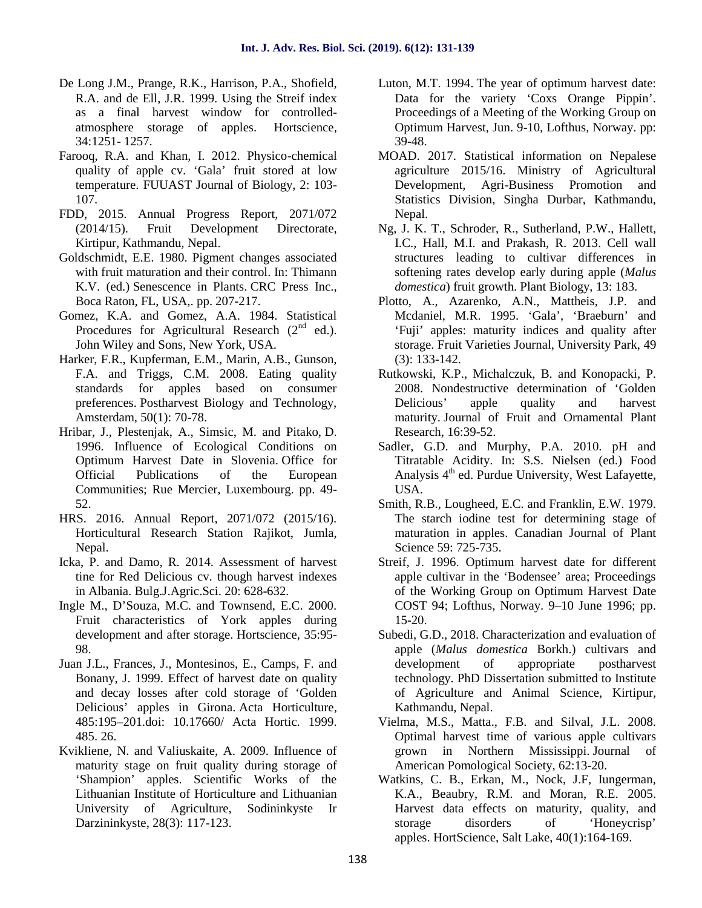- De Long J.M., Prange, R.K., Harrison, P.A., Shofield, R.A. and de Ell, J.R. 1999. Using the Streif index as a final harvest window for controlled atmosphere storage of apples. Hortscience, 34:1251- 1257.
- Farooq, R.A. and Khan, I. 2012. Physico-chemical quality of apple cv. 'Gala' fruit stored at low temperature. FUUAST Journal of Biology, 2: 103- 107.
- FDD, 2015. Annual Progress Report, 2071/072 (2014/15). Fruit Development Directorate, Kirtipur, Kathmandu, Nepal.
- Goldschmidt, E.E. 1980. Pigment changes associated with fruit maturation and their control. In: Thimann K.V. (ed.) Senescence in Plants. CRC Press Inc., Boca Raton, FL, USA,. pp. 207-217.
- Gomez, K.A. and Gomez, A.A. 1984. Statistical Procedures for Agricultural Research  $(2<sup>nd</sup>$  ed.). John Wiley and Sons, New York, USA.
- Harker, F.R., Kupferman, E.M., Marin, A.B., Gunson, F.A. and Triggs, C.M. 2008. Eating quality standards for apples based on consumer preferences. Postharvest Biology and Technology, Amsterdam, 50(1): 70-78.
- Hribar, J., Plestenjak, A., Simsic, M. and Pitako, D. 1996. Influence of Ecological Conditions on Optimum Harvest Date in Slovenia. Office for Official Publications of the European Communities; Rue Mercier, Luxembourg. pp. 49- 52.
- HRS. 2016. Annual Report, 2071/072 (2015/16). Horticultural Research Station Rajikot, Jumla, Nepal.
- Icka, P. and Damo, R. 2014. Assessment of harvest tine for Red Delicious cv. though harvest indexes in Albania. Bulg.J.Agric.Sci. 20: 628-632.
- Ingle M., D'Souza, M.C. and Townsend, E.C. 2000. Fruit characteristics of York apples during development and after storage. Hortscience, 35:95- 98.
- Juan J.L., Frances, J., Montesinos, E., Camps, F. and Bonany, J. 1999. Effect of harvest date on quality and decay losses after cold storage of 'Golden Delicious' apples in Girona. Acta Horticulture, 485:195–201.doi: 10.17660/ Acta Hortic. 1999. 485. 26.
- Kvikliene, N. and Valiuskaite, A. 2009. Influence of maturity stage on fruit quality during storage of 'Shampion' apples. Scientific Works of the Lithuanian Institute of Horticulture and Lithuanian University of Agriculture, Sodininkyste Ir Darzininkyste, 28(3): 117-123.
- Luton, M.T. 1994. The year of optimum harvest date: Data for the variety 'Coxs Orange Pippin'. Proceedings of a Meeting of the Working Group on Optimum Harvest, Jun. 9-10, Lofthus, Norway. pp: 39-48.
- MOAD. 2017. Statistical information on Nepalese agriculture 2015/16. Ministry of Agricultural Development, Agri-Business Promotion and Statistics Division, Singha Durbar, Kathmandu, Nepal.
- Ng, J. K. T., Schroder, R., Sutherland, P.W., Hallett, I.C., Hall, M.I. and Prakash, R. 2013. Cell wall structures leading to cultivar differences in softening rates develop early during apple (*Malus domestica*) fruit growth. Plant Biology, 13: 183.
- Plotto, A., Azarenko, A.N., Mattheis, J.P. and Mcdaniel, M.R. 1995. 'Gala', 'Braeburn' and 'Fuji' apples: maturity indices and quality after storage. Fruit Varieties Journal, University Park, 49 (3): 133-142.
- Rutkowski, K.P., Michalczuk, B. and Konopacki, P. 2008. Nondestructive determination of 'Golden Delicious' apple quality and harvest maturity. Journal of Fruit and Ornamental Plant Research, 16:39-52.
- Sadler, G.D. and Murphy, P.A. 2010. pH and Titratable Acidity. In: S.S. Nielsen (ed.) Food Analysis 4<sup>th</sup> ed. Purdue University, West Lafayette, USA.
- Smith, R.B., Lougheed, E.C. and Franklin, E.W. 1979. The starch iodine test for determining stage of maturation in apples. Canadian Journal of Plant Science 59: 725-735.
- Streif, J. 1996. Optimum harvest date for different apple cultivar in the 'Bodensee' area; Proceedings of the Working Group on Optimum Harvest Date COST 94; Lofthus, Norway. 9–10 June 1996; pp. 15-20.
- Subedi, G.D., 2018. Characterization and evaluation of apple (*Malus domestica* Borkh.) cultivars and development of appropriate postharvest technology. PhD Dissertation submitted to Institute of Agriculture and Animal Science, Kirtipur, Kathmandu, Nepal.
- Vielma, M.S., Matta., F.B. and Silval, J.L. 2008. Optimal harvest time of various apple cultivars grown in Northern Mississippi. Journal of American Pomological Society, 62:13-20.
- Watkins, C. B., Erkan, M., Nock, J.F, Iungerman, K.A., Beaubry, R.M. and Moran, R.E. 2005. Harvest data effects on maturity, quality, and storage disorders of 'Honeycrisp' apples. HortScience, Salt Lake, 40(1):164-169.